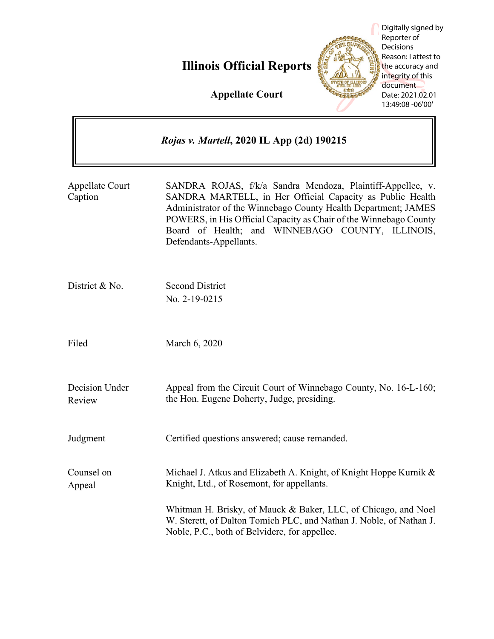**Illinois Official Reports**



Digitally signed by Reporter of **Decisions** Reason: I attest to the accuracy and integrity of this document Date: 2021.02.01 13:49:08 -06'00'

**Appellate Court**

|                                   | Rojas v. Martell, 2020 IL App (2d) 190215                                                                                                                                                                                                                                                                                                    |
|-----------------------------------|----------------------------------------------------------------------------------------------------------------------------------------------------------------------------------------------------------------------------------------------------------------------------------------------------------------------------------------------|
| <b>Appellate Court</b><br>Caption | SANDRA ROJAS, f/k/a Sandra Mendoza, Plaintiff-Appellee, v.<br>SANDRA MARTELL, in Her Official Capacity as Public Health<br>Administrator of the Winnebago County Health Department; JAMES<br>POWERS, in His Official Capacity as Chair of the Winnebago County<br>Board of Health; and WINNEBAGO COUNTY, ILLINOIS,<br>Defendants-Appellants. |
| District & No.                    | <b>Second District</b><br>No. 2-19-0215                                                                                                                                                                                                                                                                                                      |
| Filed                             | March 6, 2020                                                                                                                                                                                                                                                                                                                                |
| Decision Under<br>Review          | Appeal from the Circuit Court of Winnebago County, No. 16-L-160;<br>the Hon. Eugene Doherty, Judge, presiding.                                                                                                                                                                                                                               |
| Judgment                          | Certified questions answered; cause remanded.                                                                                                                                                                                                                                                                                                |
| Counsel on<br>Appeal              | Michael J. Atkus and Elizabeth A. Knight, of Knight Hoppe Kurnik &<br>Knight, Ltd., of Rosemont, for appellants.                                                                                                                                                                                                                             |
|                                   | Whitman H. Brisky, of Mauck & Baker, LLC, of Chicago, and Noel<br>W. Sterett, of Dalton Tomich PLC, and Nathan J. Noble, of Nathan J.<br>Noble, P.C., both of Belvidere, for appellee.                                                                                                                                                       |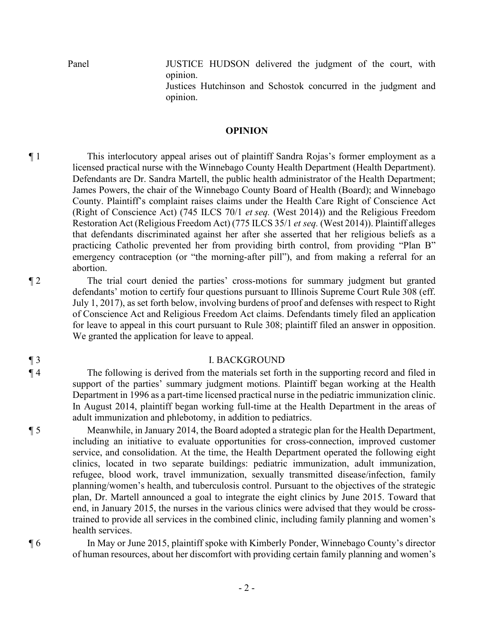Panel JUSTICE HUDSON delivered the judgment of the court, with opinion.

> Justices Hutchinson and Schostok concurred in the judgment and opinion.

#### **OPINION**

¶ 1 This interlocutory appeal arises out of plaintiff Sandra Rojas's former employment as a licensed practical nurse with the Winnebago County Health Department (Health Department). Defendants are Dr. Sandra Martell, the public health administrator of the Health Department; James Powers, the chair of the Winnebago County Board of Health (Board); and Winnebago County. Plaintiff's complaint raises claims under the Health Care Right of Conscience Act (Right of Conscience Act) (745 ILCS 70/1 *et seq.* (West 2014)) and the Religious Freedom Restoration Act (Religious Freedom Act) (775 ILCS 35/1 *et seq.* (West 2014)). Plaintiff alleges that defendants discriminated against her after she asserted that her religious beliefs as a practicing Catholic prevented her from providing birth control, from providing "Plan B" emergency contraception (or "the morning-after pill"), and from making a referral for an abortion.

¶ 2 The trial court denied the parties' cross-motions for summary judgment but granted defendants' motion to certify four questions pursuant to Illinois Supreme Court Rule 308 (eff. July 1, 2017), as set forth below, involving burdens of proof and defenses with respect to Right of Conscience Act and Religious Freedom Act claims. Defendants timely filed an application for leave to appeal in this court pursuant to Rule 308; plaintiff filed an answer in opposition. We granted the application for leave to appeal.

## ¶ 3 I. BACKGROUND

¶ 4 The following is derived from the materials set forth in the supporting record and filed in support of the parties' summary judgment motions. Plaintiff began working at the Health Department in 1996 as a part-time licensed practical nurse in the pediatric immunization clinic. In August 2014, plaintiff began working full-time at the Health Department in the areas of adult immunization and phlebotomy, in addition to pediatrics.

¶ 5 Meanwhile, in January 2014, the Board adopted a strategic plan for the Health Department, including an initiative to evaluate opportunities for cross-connection, improved customer service, and consolidation. At the time, the Health Department operated the following eight clinics, located in two separate buildings: pediatric immunization, adult immunization, refugee, blood work, travel immunization, sexually transmitted disease/infection, family planning/women's health, and tuberculosis control. Pursuant to the objectives of the strategic plan, Dr. Martell announced a goal to integrate the eight clinics by June 2015. Toward that end, in January 2015, the nurses in the various clinics were advised that they would be crosstrained to provide all services in the combined clinic, including family planning and women's health services.

¶ 6 In May or June 2015, plaintiff spoke with Kimberly Ponder, Winnebago County's director of human resources, about her discomfort with providing certain family planning and women's

- 2 -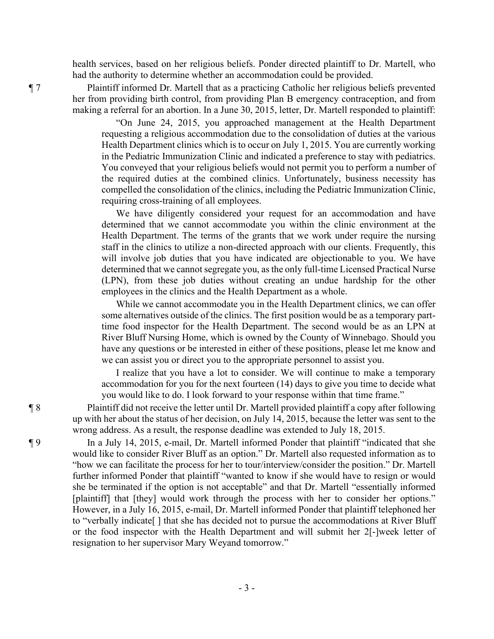health services, based on her religious beliefs. Ponder directed plaintiff to Dr. Martell, who had the authority to determine whether an accommodation could be provided.

¶ 7 Plaintiff informed Dr. Martell that as a practicing Catholic her religious beliefs prevented her from providing birth control, from providing Plan B emergency contraception, and from making a referral for an abortion. In a June 30, 2015, letter, Dr. Martell responded to plaintiff:

> "On June 24, 2015, you approached management at the Health Department requesting a religious accommodation due to the consolidation of duties at the various Health Department clinics which is to occur on July 1, 2015. You are currently working in the Pediatric Immunization Clinic and indicated a preference to stay with pediatrics. You conveyed that your religious beliefs would not permit you to perform a number of the required duties at the combined clinics. Unfortunately, business necessity has compelled the consolidation of the clinics, including the Pediatric Immunization Clinic, requiring cross-training of all employees.

> We have diligently considered your request for an accommodation and have determined that we cannot accommodate you within the clinic environment at the Health Department. The terms of the grants that we work under require the nursing staff in the clinics to utilize a non-directed approach with our clients. Frequently, this will involve job duties that you have indicated are objectionable to you. We have determined that we cannot segregate you, as the only full-time Licensed Practical Nurse (LPN), from these job duties without creating an undue hardship for the other employees in the clinics and the Health Department as a whole.

> While we cannot accommodate you in the Health Department clinics, we can offer some alternatives outside of the clinics. The first position would be as a temporary parttime food inspector for the Health Department. The second would be as an LPN at River Bluff Nursing Home, which is owned by the County of Winnebago. Should you have any questions or be interested in either of these positions, please let me know and we can assist you or direct you to the appropriate personnel to assist you.

> I realize that you have a lot to consider. We will continue to make a temporary accommodation for you for the next fourteen (14) days to give you time to decide what you would like to do. I look forward to your response within that time frame."

¶ 8 Plaintiff did not receive the letter until Dr. Martell provided plaintiff a copy after following up with her about the status of her decision, on July 14, 2015, because the letter was sent to the wrong address. As a result, the response deadline was extended to July 18, 2015.

¶ 9 In a July 14, 2015, e-mail, Dr. Martell informed Ponder that plaintiff "indicated that she would like to consider River Bluff as an option." Dr. Martell also requested information as to "how we can facilitate the process for her to tour/interview/consider the position." Dr. Martell further informed Ponder that plaintiff "wanted to know if she would have to resign or would she be terminated if the option is not acceptable" and that Dr. Martell "essentially informed [plaintiff] that [they] would work through the process with her to consider her options." However, in a July 16, 2015, e-mail, Dr. Martell informed Ponder that plaintiff telephoned her to "verbally indicate[ ] that she has decided not to pursue the accommodations at River Bluff or the food inspector with the Health Department and will submit her 2[-]week letter of resignation to her supervisor Mary Weyand tomorrow."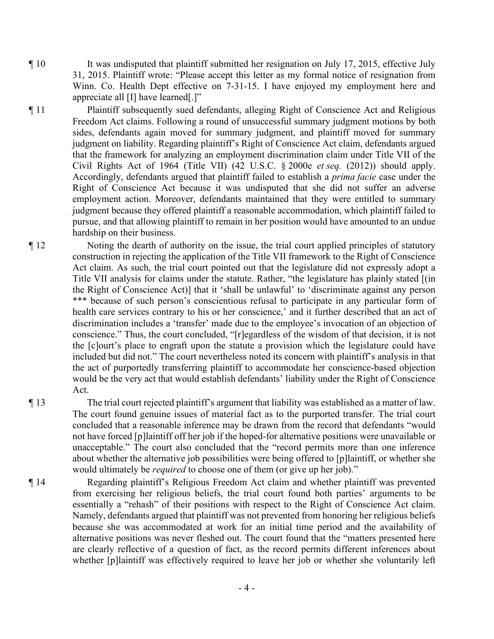¶ 10 It was undisputed that plaintiff submitted her resignation on July 17, 2015, effective July 31, 2015. Plaintiff wrote: "Please accept this letter as my formal notice of resignation from Winn. Co. Health Dept effective on 7-31-15. I have enjoyed my employment here and appreciate all [I] have learned[.]"

¶ 11 Plaintiff subsequently sued defendants, alleging Right of Conscience Act and Religious Freedom Act claims. Following a round of unsuccessful summary judgment motions by both sides, defendants again moved for summary judgment, and plaintiff moved for summary judgment on liability. Regarding plaintiff's Right of Conscience Act claim, defendants argued that the framework for analyzing an employment discrimination claim under Title VII of the Civil Rights Act of 1964 (Title VII) (42 U.S.C. § 2000e *et seq.* (2012)) should apply. Accordingly, defendants argued that plaintiff failed to establish a *prima facie* case under the Right of Conscience Act because it was undisputed that she did not suffer an adverse employment action. Moreover, defendants maintained that they were entitled to summary judgment because they offered plaintiff a reasonable accommodation, which plaintiff failed to pursue, and that allowing plaintiff to remain in her position would have amounted to an undue hardship on their business.

¶ 12 Noting the dearth of authority on the issue, the trial court applied principles of statutory construction in rejecting the application of the Title VII framework to the Right of Conscience Act claim. As such, the trial court pointed out that the legislature did not expressly adopt a Title VII analysis for claims under the statute. Rather, "the legislature has plainly stated [(in the Right of Conscience Act)] that it 'shall be unlawful' to 'discriminate against any person \*\*\* because of such person's conscientious refusal to participate in any particular form of health care services contrary to his or her conscience,' and it further described that an act of discrimination includes a 'transfer' made due to the employee's invocation of an objection of conscience." Thus, the court concluded, "[r]egardless of the wisdom of that decision, it is not the [c]ourt's place to engraft upon the statute a provision which the legislature could have included but did not." The court nevertheless noted its concern with plaintiff's analysis in that the act of purportedly transferring plaintiff to accommodate her conscience-based objection would be the very act that would establish defendants' liability under the Right of Conscience Act.

¶ 13 The trial court rejected plaintiff's argument that liability was established as a matter of law. The court found genuine issues of material fact as to the purported transfer. The trial court concluded that a reasonable inference may be drawn from the record that defendants "would not have forced [p]laintiff off her job if the hoped-for alternative positions were unavailable or unacceptable." The court also concluded that the "record permits more than one inference about whether the alternative job possibilities were being offered to [p]laintiff, or whether she would ultimately be *required* to choose one of them (or give up her job)."

¶ 14 Regarding plaintiff's Religious Freedom Act claim and whether plaintiff was prevented from exercising her religious beliefs, the trial court found both parties' arguments to be essentially a "rehash" of their positions with respect to the Right of Conscience Act claim. Namely, defendants argued that plaintiff was not prevented from honoring her religious beliefs because she was accommodated at work for an initial time period and the availability of alternative positions was never fleshed out. The court found that the "matters presented here are clearly reflective of a question of fact, as the record permits different inferences about whether [p]laintiff was effectively required to leave her job or whether she voluntarily left

- 4 -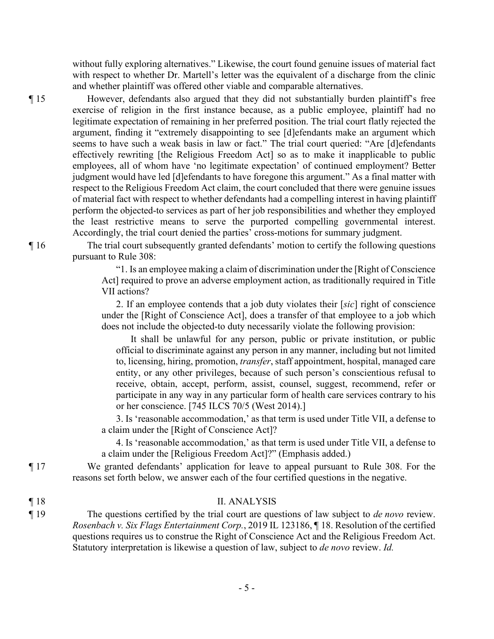without fully exploring alternatives." Likewise, the court found genuine issues of material fact with respect to whether Dr. Martell's letter was the equivalent of a discharge from the clinic and whether plaintiff was offered other viable and comparable alternatives.

¶ 15 However, defendants also argued that they did not substantially burden plaintiff's free exercise of religion in the first instance because, as a public employee, plaintiff had no legitimate expectation of remaining in her preferred position. The trial court flatly rejected the argument, finding it "extremely disappointing to see [d]efendants make an argument which seems to have such a weak basis in law or fact." The trial court queried: "Are [d]efendants effectively rewriting [the Religious Freedom Act] so as to make it inapplicable to public employees, all of whom have 'no legitimate expectation' of continued employment? Better judgment would have led [d]efendants to have foregone this argument." As a final matter with respect to the Religious Freedom Act claim, the court concluded that there were genuine issues of material fact with respect to whether defendants had a compelling interest in having plaintiff perform the objected-to services as part of her job responsibilities and whether they employed the least restrictive means to serve the purported compelling governmental interest. Accordingly, the trial court denied the parties' cross-motions for summary judgment.

¶ 16 The trial court subsequently granted defendants' motion to certify the following questions pursuant to Rule 308:

> "1. Is an employee making a claim of discrimination under the [Right of Conscience Act] required to prove an adverse employment action, as traditionally required in Title VII actions?

> 2. If an employee contends that a job duty violates their [*sic*] right of conscience under the [Right of Conscience Act], does a transfer of that employee to a job which does not include the objected-to duty necessarily violate the following provision:

It shall be unlawful for any person, public or private institution, or public official to discriminate against any person in any manner, including but not limited to, licensing, hiring, promotion, *transfer*, staff appointment, hospital, managed care entity, or any other privileges, because of such person's conscientious refusal to receive, obtain, accept, perform, assist, counsel, suggest, recommend, refer or participate in any way in any particular form of health care services contrary to his or her conscience. [745 ILCS 70/5 (West 2014).]

3. Is 'reasonable accommodation,' as that term is used under Title VII, a defense to a claim under the [Right of Conscience Act]?

4. Is 'reasonable accommodation,' as that term is used under Title VII, a defense to a claim under the [Religious Freedom Act]?" (Emphasis added.)

¶ 17 We granted defendants' application for leave to appeal pursuant to Rule 308. For the reasons set forth below, we answer each of the four certified questions in the negative.

| $\P18$ | <b>II. ANALYSIS</b> |
|--------|---------------------|
|--------|---------------------|

¶ 19 The questions certified by the trial court are questions of law subject to *de novo* review. *Rosenbach v. Six Flags Entertainment Corp.*, 2019 IL 123186, ¶ 18. Resolution of the certified questions requires us to construe the Right of Conscience Act and the Religious Freedom Act. Statutory interpretation is likewise a question of law, subject to *de novo* review. *Id.*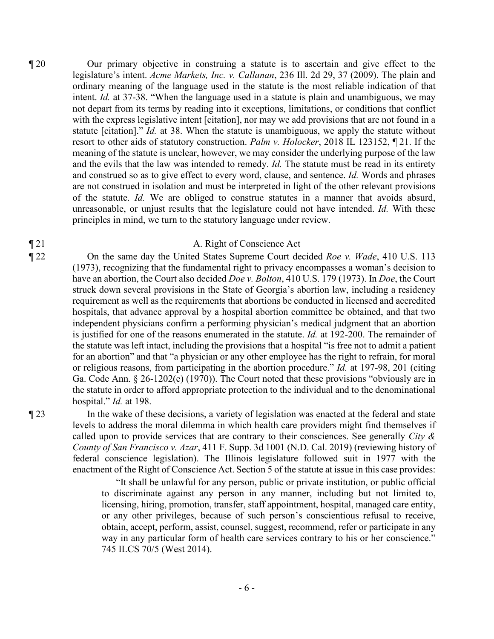¶ 20 Our primary objective in construing a statute is to ascertain and give effect to the legislature's intent. *Acme Markets, Inc. v. Callanan*, 236 Ill. 2d 29, 37 (2009). The plain and ordinary meaning of the language used in the statute is the most reliable indication of that intent. *Id.* at 37-38. "When the language used in a statute is plain and unambiguous, we may not depart from its terms by reading into it exceptions, limitations, or conditions that conflict with the express legislative intent [citation], nor may we add provisions that are not found in a statute [citation]." *Id.* at 38. When the statute is unambiguous, we apply the statute without resort to other aids of statutory construction. *Palm v. Holocker*, 2018 IL 123152, ¶ 21. If the meaning of the statute is unclear, however, we may consider the underlying purpose of the law and the evils that the law was intended to remedy. *Id.* The statute must be read in its entirety and construed so as to give effect to every word, clause, and sentence. *Id.* Words and phrases are not construed in isolation and must be interpreted in light of the other relevant provisions of the statute. *Id.* We are obliged to construe statutes in a manner that avoids absurd, unreasonable, or unjust results that the legislature could not have intended. *Id.* With these principles in mind, we turn to the statutory language under review.

### ¶ 21 A. Right of Conscience Act

¶ 22 On the same day the United States Supreme Court decided *Roe v. Wade*, 410 U.S. 113 (1973), recognizing that the fundamental right to privacy encompasses a woman's decision to have an abortion, the Court also decided *Doe v. Bolton*, 410 U.S. 179 (1973). In *Doe*, the Court struck down several provisions in the State of Georgia's abortion law, including a residency requirement as well as the requirements that abortions be conducted in licensed and accredited hospitals, that advance approval by a hospital abortion committee be obtained, and that two independent physicians confirm a performing physician's medical judgment that an abortion is justified for one of the reasons enumerated in the statute. *Id.* at 192-200. The remainder of the statute was left intact, including the provisions that a hospital "is free not to admit a patient for an abortion" and that "a physician or any other employee has the right to refrain, for moral or religious reasons, from participating in the abortion procedure." *Id.* at 197-98, 201 (citing Ga. Code Ann. § 26-1202(e) (1970)). The Court noted that these provisions "obviously are in the statute in order to afford appropriate protection to the individual and to the denominational hospital." *Id.* at 198.

¶ 23 In the wake of these decisions, a variety of legislation was enacted at the federal and state levels to address the moral dilemma in which health care providers might find themselves if called upon to provide services that are contrary to their consciences. See generally *City & County of San Francisco v. Azar*, 411 F. Supp. 3d 1001 (N.D. Cal. 2019) (reviewing history of federal conscience legislation). The Illinois legislature followed suit in 1977 with the enactment of the Right of Conscience Act. Section 5 of the statute at issue in this case provides:

> "It shall be unlawful for any person, public or private institution, or public official to discriminate against any person in any manner, including but not limited to, licensing, hiring, promotion, transfer, staff appointment, hospital, managed care entity, or any other privileges, because of such person's conscientious refusal to receive, obtain, accept, perform, assist, counsel, suggest, recommend, refer or participate in any way in any particular form of health care services contrary to his or her conscience." 745 ILCS 70/5 (West 2014).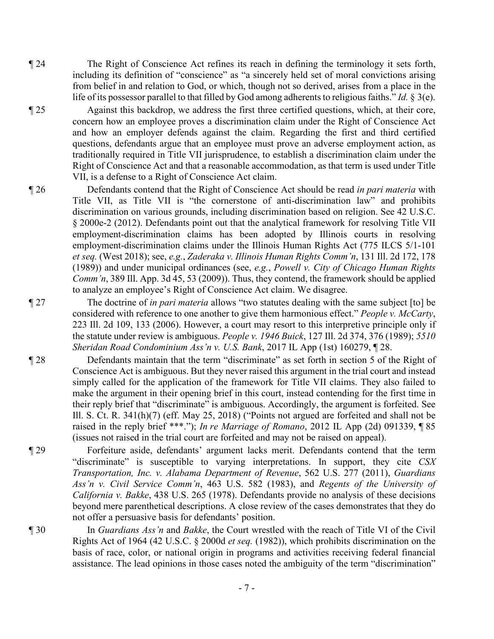¶ 24 The Right of Conscience Act refines its reach in defining the terminology it sets forth, including its definition of "conscience" as "a sincerely held set of moral convictions arising from belief in and relation to God, or which, though not so derived, arises from a place in the life of its possessor parallel to that filled by God among adherents to religious faiths." *Id.* § 3(e).

¶ 25 Against this backdrop, we address the first three certified questions, which, at their core, concern how an employee proves a discrimination claim under the Right of Conscience Act and how an employer defends against the claim. Regarding the first and third certified questions, defendants argue that an employee must prove an adverse employment action, as traditionally required in Title VII jurisprudence, to establish a discrimination claim under the Right of Conscience Act and that a reasonable accommodation, as that term is used under Title VII, is a defense to a Right of Conscience Act claim.

- ¶ 26 Defendants contend that the Right of Conscience Act should be read *in pari materia* with Title VII, as Title VII is "the cornerstone of anti-discrimination law" and prohibits discrimination on various grounds, including discrimination based on religion. See 42 U.S.C. § 2000e-2 (2012). Defendants point out that the analytical framework for resolving Title VII employment-discrimination claims has been adopted by Illinois courts in resolving employment-discrimination claims under the Illinois Human Rights Act (775 ILCS 5/1-101 *et seq.* (West 2018); see, *e.g.*, *Zaderaka v. Illinois Human Rights Comm'n*, 131 Ill. 2d 172, 178 (1989)) and under municipal ordinances (see, *e.g.*, *Powell v. City of Chicago Human Rights Comm'n*, 389 Ill. App. 3d 45, 53 (2009)). Thus, they contend, the framework should be applied to analyze an employee's Right of Conscience Act claim. We disagree.
- ¶ 27 The doctrine of *in pari materia* allows "two statutes dealing with the same subject [to] be considered with reference to one another to give them harmonious effect." *People v. McCarty*, 223 Ill. 2d 109, 133 (2006). However, a court may resort to this interpretive principle only if the statute under review is ambiguous. *People v. 1946 Buick*, 127 Ill. 2d 374, 376 (1989); *5510 Sheridan Road Condominium Ass'n v. U.S. Bank*, 2017 IL App (1st) 160279, ¶ 28.
- ¶ 28 Defendants maintain that the term "discriminate" as set forth in section 5 of the Right of Conscience Act is ambiguous. But they never raised this argument in the trial court and instead simply called for the application of the framework for Title VII claims. They also failed to make the argument in their opening brief in this court, instead contending for the first time in their reply brief that "discriminate" is ambiguous. Accordingly, the argument is forfeited. See Ill. S. Ct. R. 341(h)(7) (eff. May 25, 2018) ("Points not argued are forfeited and shall not be raised in the reply brief \*\*\*."); *In re Marriage of Romano*, 2012 IL App (2d) 091339, ¶ 85 (issues not raised in the trial court are forfeited and may not be raised on appeal).
- ¶ 29 Forfeiture aside, defendants' argument lacks merit. Defendants contend that the term "discriminate" is susceptible to varying interpretations. In support, they cite *CSX Transportation, Inc. v. Alabama Department of Revenue*, 562 U.S. 277 (2011), *Guardians Ass'n v. Civil Service Comm'n*, 463 U.S. 582 (1983), and *Regents of the University of California v. Bakke*, 438 U.S. 265 (1978). Defendants provide no analysis of these decisions beyond mere parenthetical descriptions. A close review of the cases demonstrates that they do not offer a persuasive basis for defendants' position.
- ¶ 30 In *Guardians Ass'n* and *Bakke*, the Court wrestled with the reach of Title VI of the Civil Rights Act of 1964 (42 U.S.C. § 2000d *et seq.* (1982)), which prohibits discrimination on the basis of race, color, or national origin in programs and activities receiving federal financial assistance. The lead opinions in those cases noted the ambiguity of the term "discrimination"

- 7 -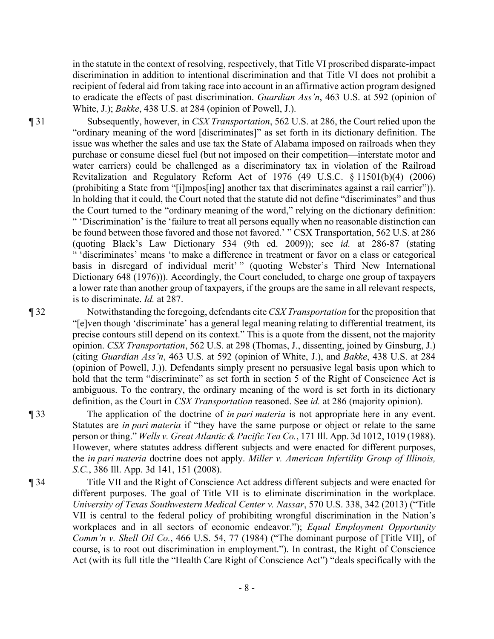in the statute in the context of resolving, respectively, that Title VI proscribed disparate-impact discrimination in addition to intentional discrimination and that Title VI does not prohibit a recipient of federal aid from taking race into account in an affirmative action program designed to eradicate the effects of past discrimination. *Guardian Ass'n*, 463 U.S. at 592 (opinion of White, J.); *Bakke*, 438 U.S. at 284 (opinion of Powell, J.).

¶ 31 Subsequently, however, in *CSX Transportation*, 562 U.S. at 286, the Court relied upon the "ordinary meaning of the word [discriminates]" as set forth in its dictionary definition. The issue was whether the sales and use tax the State of Alabama imposed on railroads when they purchase or consume diesel fuel (but not imposed on their competition—interstate motor and water carriers) could be challenged as a discriminatory tax in violation of the Railroad Revitalization and Regulatory Reform Act of 1976 (49 U.S.C. § 11501(b)(4) (2006) (prohibiting a State from "[i]mpos[ing] another tax that discriminates against a rail carrier")). In holding that it could, the Court noted that the statute did not define "discriminates" and thus the Court turned to the "ordinary meaning of the word," relying on the dictionary definition: " 'Discrimination' is the 'failure to treat all persons equally when no reasonable distinction can be found between those favored and those not favored.' " CSX Transportation, 562 U.S. at 286 (quoting Black's Law Dictionary 534 (9th ed. 2009)); see *id.* at 286-87 (stating " 'discriminates' means 'to make a difference in treatment or favor on a class or categorical basis in disregard of individual merit' " (quoting Webster's Third New International Dictionary 648 (1976))). Accordingly, the Court concluded, to charge one group of taxpayers a lower rate than another group of taxpayers, if the groups are the same in all relevant respects, is to discriminate. *Id.* at 287.

¶ 32 Notwithstanding the foregoing, defendants cite *CSX Transportation* for the proposition that "[e]ven though 'discriminate' has a general legal meaning relating to differential treatment, its precise contours still depend on its context." This is a quote from the dissent, not the majority opinion. *CSX Transportation*, 562 U.S. at 298 (Thomas, J., dissenting, joined by Ginsburg, J.) (citing *Guardian Ass'n*, 463 U.S. at 592 (opinion of White, J.), and *Bakke*, 438 U.S. at 284 (opinion of Powell, J.)). Defendants simply present no persuasive legal basis upon which to hold that the term "discriminate" as set forth in section 5 of the Right of Conscience Act is ambiguous. To the contrary, the ordinary meaning of the word is set forth in its dictionary definition, as the Court in *CSX Transportation* reasoned. See *id.* at 286 (majority opinion).

¶ 33 The application of the doctrine of *in pari materia* is not appropriate here in any event. Statutes are *in pari materia* if "they have the same purpose or object or relate to the same person or thing." *Wells v. Great Atlantic & Pacific Tea Co.*, 171 Ill. App. 3d 1012, 1019 (1988). However, where statutes address different subjects and were enacted for different purposes, the *in pari materia* doctrine does not apply. *Miller v. American Infertility Group of Illinois, S.C.*, 386 Ill. App. 3d 141, 151 (2008).

¶ 34 Title VII and the Right of Conscience Act address different subjects and were enacted for different purposes. The goal of Title VII is to eliminate discrimination in the workplace. *University of Texas Southwestern Medical Center v. Nassar*, 570 U.S. 338, 342 (2013) ("Title VII is central to the federal policy of prohibiting wrongful discrimination in the Nation's workplaces and in all sectors of economic endeavor."); *Equal Employment Opportunity Comm'n v. Shell Oil Co.*, 466 U.S. 54, 77 (1984) ("The dominant purpose of [Title VII], of course, is to root out discrimination in employment."). In contrast, the Right of Conscience Act (with its full title the "Health Care Right of Conscience Act") "deals specifically with the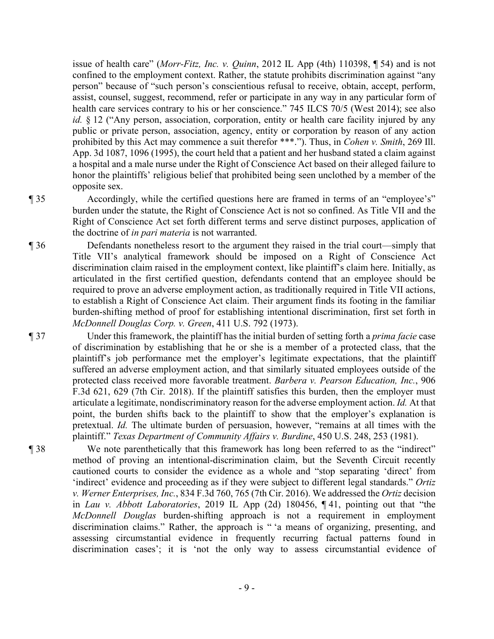issue of health care" (*Morr-Fitz, Inc. v. Quinn*, 2012 IL App (4th) 110398, ¶ 54) and is not confined to the employment context. Rather, the statute prohibits discrimination against "any person" because of "such person's conscientious refusal to receive, obtain, accept, perform, assist, counsel, suggest, recommend, refer or participate in any way in any particular form of health care services contrary to his or her conscience." 745 ILCS 70/5 (West 2014); see also *id.* § 12 ("Any person, association, corporation, entity or health care facility injured by any public or private person, association, agency, entity or corporation by reason of any action prohibited by this Act may commence a suit therefor \*\*\*."). Thus, in *Cohen v. Smith*, 269 Ill. App. 3d 1087, 1096 (1995), the court held that a patient and her husband stated a claim against a hospital and a male nurse under the Right of Conscience Act based on their alleged failure to honor the plaintiffs' religious belief that prohibited being seen unclothed by a member of the opposite sex.

¶ 35 Accordingly, while the certified questions here are framed in terms of an "employee's" burden under the statute, the Right of Conscience Act is not so confined. As Title VII and the Right of Conscience Act set forth different terms and serve distinct purposes, application of the doctrine of *in pari materia* is not warranted.

¶ 36 Defendants nonetheless resort to the argument they raised in the trial court—simply that Title VII's analytical framework should be imposed on a Right of Conscience Act discrimination claim raised in the employment context, like plaintiff's claim here. Initially, as articulated in the first certified question, defendants contend that an employee should be required to prove an adverse employment action, as traditionally required in Title VII actions, to establish a Right of Conscience Act claim. Their argument finds its footing in the familiar burden-shifting method of proof for establishing intentional discrimination, first set forth in *McDonnell Douglas Corp. v. Green*, 411 U.S. 792 (1973).

¶ 37 Under this framework, the plaintiff has the initial burden of setting forth a *prima facie* case of discrimination by establishing that he or she is a member of a protected class, that the plaintiff's job performance met the employer's legitimate expectations, that the plaintiff suffered an adverse employment action, and that similarly situated employees outside of the protected class received more favorable treatment. *Barbera v. Pearson Education, Inc.*, 906 F.3d 621, 629 (7th Cir. 2018). If the plaintiff satisfies this burden, then the employer must articulate a legitimate, nondiscriminatory reason for the adverse employment action. *Id.* At that point, the burden shifts back to the plaintiff to show that the employer's explanation is pretextual. *Id.* The ultimate burden of persuasion, however, "remains at all times with the plaintiff." *Texas Department of Community Affairs v. Burdine*, 450 U.S. 248, 253 (1981).

¶ 38 We note parenthetically that this framework has long been referred to as the "indirect" method of proving an intentional-discrimination claim, but the Seventh Circuit recently cautioned courts to consider the evidence as a whole and "stop separating 'direct' from 'indirect' evidence and proceeding as if they were subject to different legal standards." *Ortiz v. Werner Enterprises, Inc.*, 834 F.3d 760, 765 (7th Cir. 2016). We addressed the *Ortiz* decision in *Lau v. Abbott Laboratories*, 2019 IL App (2d) 180456, ¶ 41, pointing out that "the *McDonnell Douglas* burden-shifting approach is not a requirement in employment discrimination claims." Rather, the approach is " 'a means of organizing, presenting, and assessing circumstantial evidence in frequently recurring factual patterns found in discrimination cases'; it is 'not the only way to assess circumstantial evidence of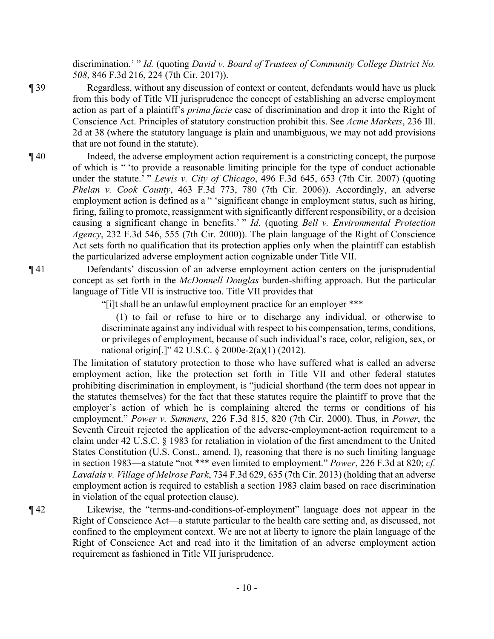discrimination.' " *Id.* (quoting *David v. Board of Trustees of Community College District No. 508*, 846 F.3d 216, 224 (7th Cir. 2017)).

- ¶ 39 Regardless, without any discussion of context or content, defendants would have us pluck from this body of Title VII jurisprudence the concept of establishing an adverse employment action as part of a plaintiff's *prima facie* case of discrimination and drop it into the Right of Conscience Act. Principles of statutory construction prohibit this. See *Acme Markets*, 236 Ill. 2d at 38 (where the statutory language is plain and unambiguous, we may not add provisions that are not found in the statute).
- ¶ 40 Indeed, the adverse employment action requirement is a constricting concept, the purpose of which is " 'to provide a reasonable limiting principle for the type of conduct actionable under the statute.' " *Lewis v. City of Chicago*, 496 F.3d 645, 653 (7th Cir. 2007) (quoting *Phelan v. Cook County*, 463 F.3d 773, 780 (7th Cir. 2006)). Accordingly, an adverse employment action is defined as a " 'significant change in employment status, such as hiring, firing, failing to promote, reassignment with significantly different responsibility, or a decision causing a significant change in benefits.' " *Id.* (quoting *Bell v. Environmental Protection Agency*, 232 F.3d 546, 555 (7th Cir. 2000)). The plain language of the Right of Conscience Act sets forth no qualification that its protection applies only when the plaintiff can establish the particularized adverse employment action cognizable under Title VII.

¶ 41 Defendants' discussion of an adverse employment action centers on the jurisprudential concept as set forth in the *McDonnell Douglas* burden-shifting approach. But the particular language of Title VII is instructive too. Title VII provides that

"[i]t shall be an unlawful employment practice for an employer \*\*\*

(1) to fail or refuse to hire or to discharge any individual, or otherwise to discriminate against any individual with respect to his compensation, terms, conditions, or privileges of employment, because of such individual's race, color, religion, sex, or national origin[.]" 42 U.S.C. § 2000e-2(a)(1) (2012).

The limitation of statutory protection to those who have suffered what is called an adverse employment action, like the protection set forth in Title VII and other federal statutes prohibiting discrimination in employment, is "judicial shorthand (the term does not appear in the statutes themselves) for the fact that these statutes require the plaintiff to prove that the employer's action of which he is complaining altered the terms or conditions of his employment." *Power v. Summers*, 226 F.3d 815, 820 (7th Cir. 2000). Thus, in *Power*, the Seventh Circuit rejected the application of the adverse-employment-action requirement to a claim under 42 U.S.C. § 1983 for retaliation in violation of the first amendment to the United States Constitution (U.S. Const., amend. I), reasoning that there is no such limiting language in section 1983—a statute "not \*\*\* even limited to employment." *Power*, 226 F.3d at 820; *cf. Lavalais v. Village of Melrose Park*, 734 F.3d 629, 635 (7th Cir. 2013) (holding that an adverse employment action is required to establish a section 1983 claim based on race discrimination in violation of the equal protection clause).

¶ 42 Likewise, the "terms-and-conditions-of-employment" language does not appear in the Right of Conscience Act—a statute particular to the health care setting and, as discussed, not confined to the employment context. We are not at liberty to ignore the plain language of the Right of Conscience Act and read into it the limitation of an adverse employment action requirement as fashioned in Title VII jurisprudence.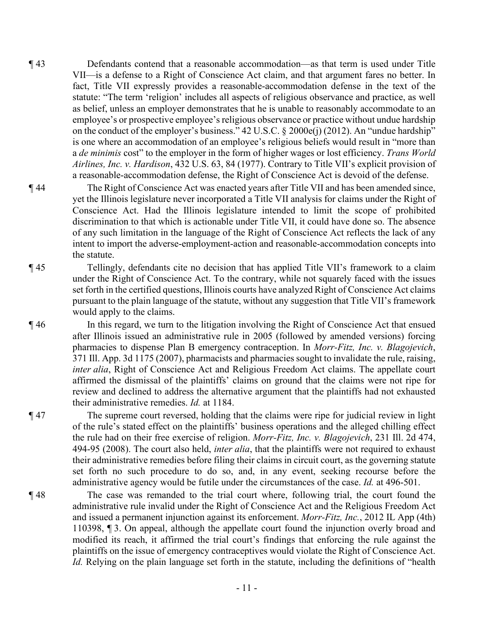- ¶ 43 Defendants contend that a reasonable accommodation—as that term is used under Title VII—is a defense to a Right of Conscience Act claim, and that argument fares no better. In fact, Title VII expressly provides a reasonable-accommodation defense in the text of the statute: "The term 'religion' includes all aspects of religious observance and practice, as well as belief, unless an employer demonstrates that he is unable to reasonably accommodate to an employee's or prospective employee's religious observance or practice without undue hardship on the conduct of the employer's business." 42 U.S.C. § 2000e(j) (2012). An "undue hardship" is one where an accommodation of an employee's religious beliefs would result in "more than a *de minimis* cost" to the employer in the form of higher wages or lost efficiency. *Trans World Airlines, Inc. v. Hardison*, 432 U.S. 63, 84 (1977). Contrary to Title VII's explicit provision of a reasonable-accommodation defense, the Right of Conscience Act is devoid of the defense.
- ¶ 44 The Right of Conscience Act was enacted years after Title VII and has been amended since, yet the Illinois legislature never incorporated a Title VII analysis for claims under the Right of Conscience Act. Had the Illinois legislature intended to limit the scope of prohibited discrimination to that which is actionable under Title VII, it could have done so. The absence of any such limitation in the language of the Right of Conscience Act reflects the lack of any intent to import the adverse-employment-action and reasonable-accommodation concepts into the statute.
- ¶ 45 Tellingly, defendants cite no decision that has applied Title VII's framework to a claim under the Right of Conscience Act. To the contrary, while not squarely faced with the issues set forth in the certified questions, Illinois courts have analyzed Right of Conscience Act claims pursuant to the plain language of the statute, without any suggestion that Title VII's framework would apply to the claims.

¶ 46 In this regard, we turn to the litigation involving the Right of Conscience Act that ensued after Illinois issued an administrative rule in 2005 (followed by amended versions) forcing pharmacies to dispense Plan B emergency contraception. In *Morr-Fitz, Inc. v. Blagojevich*, 371 Ill. App. 3d 1175 (2007), pharmacists and pharmacies sought to invalidate the rule, raising, *inter alia*, Right of Conscience Act and Religious Freedom Act claims. The appellate court affirmed the dismissal of the plaintiffs' claims on ground that the claims were not ripe for review and declined to address the alternative argument that the plaintiffs had not exhausted their administrative remedies. *Id.* at 1184.

- ¶ 47 The supreme court reversed, holding that the claims were ripe for judicial review in light of the rule's stated effect on the plaintiffs' business operations and the alleged chilling effect the rule had on their free exercise of religion. *Morr-Fitz, Inc. v. Blagojevich*, 231 Ill. 2d 474, 494-95 (2008). The court also held, *inter alia*, that the plaintiffs were not required to exhaust their administrative remedies before filing their claims in circuit court, as the governing statute set forth no such procedure to do so, and, in any event, seeking recourse before the administrative agency would be futile under the circumstances of the case. *Id.* at 496-501.
- ¶ 48 The case was remanded to the trial court where, following trial, the court found the administrative rule invalid under the Right of Conscience Act and the Religious Freedom Act and issued a permanent injunction against its enforcement. *Morr-Fitz, Inc.*, 2012 IL App (4th) 110398, ¶ 3. On appeal, although the appellate court found the injunction overly broad and modified its reach, it affirmed the trial court's findings that enforcing the rule against the plaintiffs on the issue of emergency contraceptives would violate the Right of Conscience Act. *Id.* Relying on the plain language set forth in the statute, including the definitions of "health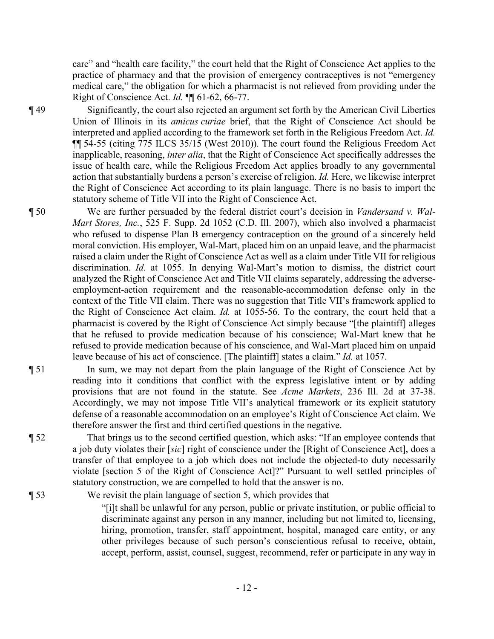care" and "health care facility," the court held that the Right of Conscience Act applies to the practice of pharmacy and that the provision of emergency contraceptives is not "emergency medical care," the obligation for which a pharmacist is not relieved from providing under the Right of Conscience Act. *Id.* ¶¶ 61-62, 66-77.

¶ 49 Significantly, the court also rejected an argument set forth by the American Civil Liberties Union of Illinois in its *amicus curiae* brief, that the Right of Conscience Act should be interpreted and applied according to the framework set forth in the Religious Freedom Act. *Id.* ¶¶ 54-55 (citing 775 ILCS 35/15 (West 2010)). The court found the Religious Freedom Act inapplicable, reasoning, *inter alia*, that the Right of Conscience Act specifically addresses the issue of health care, while the Religious Freedom Act applies broadly to any governmental action that substantially burdens a person's exercise of religion. *Id.* Here, we likewise interpret the Right of Conscience Act according to its plain language. There is no basis to import the statutory scheme of Title VII into the Right of Conscience Act.

¶ 50 We are further persuaded by the federal district court's decision in *Vandersand v. Wal-Mart Stores, Inc.*, 525 F. Supp. 2d 1052 (C.D. Ill. 2007), which also involved a pharmacist who refused to dispense Plan B emergency contraception on the ground of a sincerely held moral conviction. His employer, Wal-Mart, placed him on an unpaid leave, and the pharmacist raised a claim under the Right of Conscience Act as well as a claim under Title VII for religious discrimination. *Id.* at 1055. In denying Wal-Mart's motion to dismiss, the district court analyzed the Right of Conscience Act and Title VII claims separately, addressing the adverseemployment-action requirement and the reasonable-accommodation defense only in the context of the Title VII claim. There was no suggestion that Title VII's framework applied to the Right of Conscience Act claim. *Id.* at 1055-56. To the contrary, the court held that a pharmacist is covered by the Right of Conscience Act simply because "[the plaintiff] alleges that he refused to provide medication because of his conscience; Wal-Mart knew that he refused to provide medication because of his conscience, and Wal-Mart placed him on unpaid leave because of his act of conscience. [The plaintiff] states a claim." *Id.* at 1057.

- ¶ 51 In sum, we may not depart from the plain language of the Right of Conscience Act by reading into it conditions that conflict with the express legislative intent or by adding provisions that are not found in the statute. See *Acme Markets*, 236 Ill. 2d at 37-38. Accordingly, we may not impose Title VII's analytical framework or its explicit statutory defense of a reasonable accommodation on an employee's Right of Conscience Act claim. We therefore answer the first and third certified questions in the negative.
- ¶ 52 That brings us to the second certified question, which asks: "If an employee contends that a job duty violates their [*sic*] right of conscience under the [Right of Conscience Act], does a transfer of that employee to a job which does not include the objected-to duty necessarily violate [section 5 of the Right of Conscience Act]?" Pursuant to well settled principles of statutory construction, we are compelled to hold that the answer is no.

¶ 53 We revisit the plain language of section 5, which provides that

"[i]t shall be unlawful for any person, public or private institution, or public official to discriminate against any person in any manner, including but not limited to, licensing, hiring, promotion, transfer, staff appointment, hospital, managed care entity, or any other privileges because of such person's conscientious refusal to receive, obtain, accept, perform, assist, counsel, suggest, recommend, refer or participate in any way in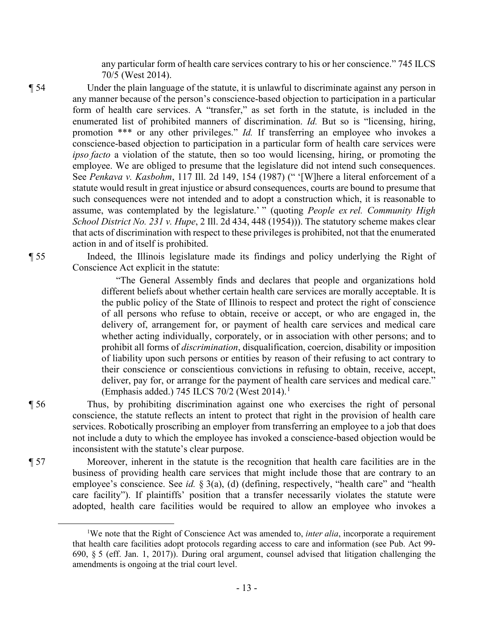any particular form of health care services contrary to his or her conscience." 745 ILCS 70/5 (West 2014).

¶ 54 Under the plain language of the statute, it is unlawful to discriminate against any person in any manner because of the person's conscience-based objection to participation in a particular form of health care services. A "transfer," as set forth in the statute, is included in the enumerated list of prohibited manners of discrimination. *Id.* But so is "licensing, hiring, promotion \*\*\* or any other privileges." *Id.* If transferring an employee who invokes a conscience-based objection to participation in a particular form of health care services were *ipso facto* a violation of the statute, then so too would licensing, hiring, or promoting the employee. We are obliged to presume that the legislature did not intend such consequences. See *Penkava v. Kasbohm*, 117 Ill. 2d 149, 154 (1987) (" '[W]here a literal enforcement of a statute would result in great injustice or absurd consequences, courts are bound to presume that such consequences were not intended and to adopt a construction which, it is reasonable to assume, was contemplated by the legislature.' " (quoting *People ex rel. Community High School District No. 231 v. Hupe*, 2 Ill. 2d 434, 448 (1954))). The statutory scheme makes clear that acts of discrimination with respect to these privileges is prohibited, not that the enumerated action in and of itself is prohibited.

¶ 55 Indeed, the Illinois legislature made its findings and policy underlying the Right of Conscience Act explicit in the statute:

> "The General Assembly finds and declares that people and organizations hold different beliefs about whether certain health care services are morally acceptable. It is the public policy of the State of Illinois to respect and protect the right of conscience of all persons who refuse to obtain, receive or accept, or who are engaged in, the delivery of, arrangement for, or payment of health care services and medical care whether acting individually, corporately, or in association with other persons; and to prohibit all forms of *discrimination*, disqualification, coercion, disability or imposition of liability upon such persons or entities by reason of their refusing to act contrary to their conscience or conscientious convictions in refusing to obtain, receive, accept, deliver, pay for, or arrange for the payment of health care services and medical care." (Emphasis added.) 745 ILCS 70/2 (West 2014).<sup>1</sup>

¶ 56 Thus, by prohibiting discrimination against one who exercises the right of personal conscience, the statute reflects an intent to protect that right in the provision of health care services. Robotically proscribing an employer from transferring an employee to a job that does not include a duty to which the employee has invoked a conscience-based objection would be inconsistent with the statute's clear purpose.

¶ 57 Moreover, inherent in the statute is the recognition that health care facilities are in the business of providing health care services that might include those that are contrary to an employee's conscience. See *id.* § 3(a), (d) (defining, respectively, "health care" and "health care facility"). If plaintiffs' position that a transfer necessarily violates the statute were adopted, health care facilities would be required to allow an employee who invokes a

<sup>&</sup>lt;sup>1</sup>We note that the Right of Conscience Act was amended to, *inter alia*, incorporate a requirement that health care facilities adopt protocols regarding access to care and information (see Pub. Act 99- 690, § 5 (eff. Jan. 1, 2017)). During oral argument, counsel advised that litigation challenging the amendments is ongoing at the trial court level.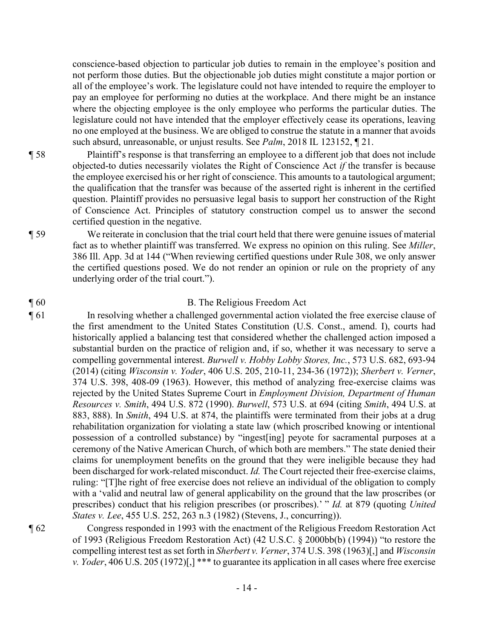conscience-based objection to particular job duties to remain in the employee's position and not perform those duties. But the objectionable job duties might constitute a major portion or all of the employee's work. The legislature could not have intended to require the employer to pay an employee for performing no duties at the workplace. And there might be an instance where the objecting employee is the only employee who performs the particular duties. The legislature could not have intended that the employer effectively cease its operations, leaving no one employed at the business. We are obliged to construe the statute in a manner that avoids such absurd, unreasonable, or unjust results. See *Palm*, 2018 IL 123152, ¶ 21.

- ¶ 58 Plaintiff's response is that transferring an employee to a different job that does not include objected-to duties necessarily violates the Right of Conscience Act *if* the transfer is because the employee exercised his or her right of conscience. This amounts to a tautological argument; the qualification that the transfer was because of the asserted right is inherent in the certified question. Plaintiff provides no persuasive legal basis to support her construction of the Right of Conscience Act. Principles of statutory construction compel us to answer the second certified question in the negative.
- ¶ 59 We reiterate in conclusion that the trial court held that there were genuine issues of material fact as to whether plaintiff was transferred. We express no opinion on this ruling. See *Miller*, 386 Ill. App. 3d at 144 ("When reviewing certified questions under Rule 308, we only answer the certified questions posed. We do not render an opinion or rule on the propriety of any underlying order of the trial court.").

# ¶ 60 B. The Religious Freedom Act

- ¶ 61 In resolving whether a challenged governmental action violated the free exercise clause of the first amendment to the United States Constitution (U.S. Const., amend. I), courts had historically applied a balancing test that considered whether the challenged action imposed a substantial burden on the practice of religion and, if so, whether it was necessary to serve a compelling governmental interest. *Burwell v. Hobby Lobby Stores, Inc.*, 573 U.S. 682, 693-94 (2014) (citing *Wisconsin v. Yoder*, 406 U.S. 205, 210-11, 234-36 (1972)); *Sherbert v. Verner*, 374 U.S. 398, 408-09 (1963). However, this method of analyzing free-exercise claims was rejected by the United States Supreme Court in *Employment Division, Department of Human Resources v. Smith*, 494 U.S. 872 (1990). *Burwell*, 573 U.S. at 694 (citing *Smith*, 494 U.S. at 883, 888). In *Smith*, 494 U.S. at 874, the plaintiffs were terminated from their jobs at a drug rehabilitation organization for violating a state law (which proscribed knowing or intentional possession of a controlled substance) by "ingest[ing] peyote for sacramental purposes at a ceremony of the Native American Church, of which both are members." The state denied their claims for unemployment benefits on the ground that they were ineligible because they had been discharged for work-related misconduct. *Id.* The Court rejected their free-exercise claims, ruling: "[T]he right of free exercise does not relieve an individual of the obligation to comply with a 'valid and neutral law of general applicability on the ground that the law proscribes (or prescribes) conduct that his religion prescribes (or proscribes).' " *Id.* at 879 (quoting *United States v. Lee*, 455 U.S. 252, 263 n.3 (1982) (Stevens, J., concurring)).
- 

¶ 62 Congress responded in 1993 with the enactment of the Religious Freedom Restoration Act of 1993 (Religious Freedom Restoration Act) (42 U.S.C. § 2000bb(b) (1994)) "to restore the compelling interest test as set forth in *Sherbert v. Verner*, 374 U.S. 398 (1963)[,] and *Wisconsin v. Yoder*, 406 U.S. 205 (1972)[,] \*\*\* to guarantee its application in all cases where free exercise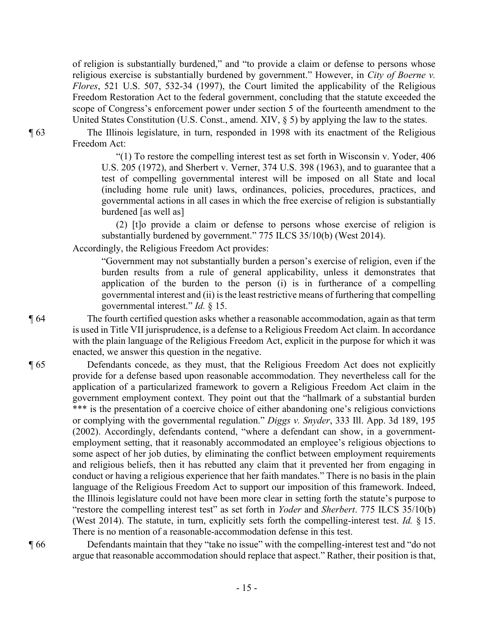of religion is substantially burdened," and "to provide a claim or defense to persons whose religious exercise is substantially burdened by government." However, in *City of Boerne v. Flores*, 521 U.S. 507, 532-34 (1997), the Court limited the applicability of the Religious Freedom Restoration Act to the federal government, concluding that the statute exceeded the scope of Congress's enforcement power under section 5 of the fourteenth amendment to the United States Constitution (U.S. Const., amend. XIV, § 5) by applying the law to the states.

¶ 63 The Illinois legislature, in turn, responded in 1998 with its enactment of the Religious Freedom Act:

> "(1) To restore the compelling interest test as set forth in Wisconsin v. Yoder, 406 U.S. 205 (1972), and Sherbert v. Verner, 374 U.S. 398 (1963), and to guarantee that a test of compelling governmental interest will be imposed on all State and local (including home rule unit) laws, ordinances, policies, procedures, practices, and governmental actions in all cases in which the free exercise of religion is substantially burdened [as well as]

(2) [t]o provide a claim or defense to persons whose exercise of religion is substantially burdened by government." 775 ILCS 35/10(b) (West 2014).

Accordingly, the Religious Freedom Act provides:

"Government may not substantially burden a person's exercise of religion, even if the burden results from a rule of general applicability, unless it demonstrates that application of the burden to the person (i) is in furtherance of a compelling governmental interest and (ii) is the least restrictive means of furthering that compelling governmental interest." *Id.* § 15.

¶ 64 The fourth certified question asks whether a reasonable accommodation, again as that term is used in Title VII jurisprudence, is a defense to a Religious Freedom Act claim. In accordance with the plain language of the Religious Freedom Act, explicit in the purpose for which it was enacted, we answer this question in the negative.

¶ 65 Defendants concede, as they must, that the Religious Freedom Act does not explicitly provide for a defense based upon reasonable accommodation. They nevertheless call for the application of a particularized framework to govern a Religious Freedom Act claim in the government employment context. They point out that the "hallmark of a substantial burden \*\*\* is the presentation of a coercive choice of either abandoning one's religious convictions or complying with the governmental regulation." *Diggs v. Snyder*, 333 Ill. App. 3d 189, 195 (2002). Accordingly, defendants contend, "where a defendant can show, in a governmentemployment setting, that it reasonably accommodated an employee's religious objections to some aspect of her job duties, by eliminating the conflict between employment requirements and religious beliefs, then it has rebutted any claim that it prevented her from engaging in conduct or having a religious experience that her faith mandates." There is no basis in the plain language of the Religious Freedom Act to support our imposition of this framework. Indeed, the Illinois legislature could not have been more clear in setting forth the statute's purpose to "restore the compelling interest test" as set forth in *Yoder* and *Sherbert*. 775 ILCS 35/10(b) (West 2014). The statute, in turn, explicitly sets forth the compelling-interest test. *Id.* § 15. There is no mention of a reasonable-accommodation defense in this test.

¶ 66 Defendants maintain that they "take no issue" with the compelling-interest test and "do not argue that reasonable accommodation should replace that aspect." Rather, their position is that,